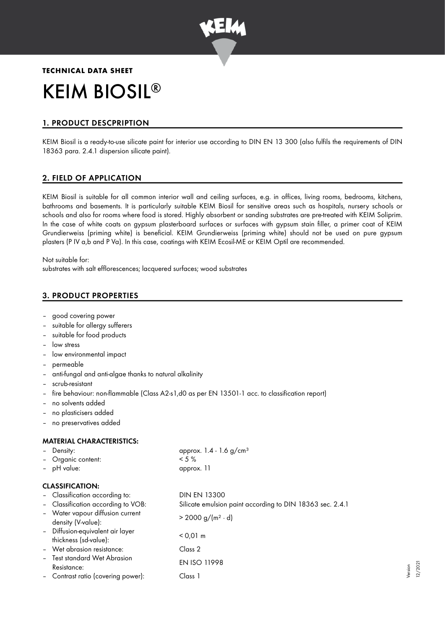

# **TECHNICAL DATA SHEET** KEIM BIOSIL ®

# 1. PRODUCT DESCPRIPTION

KEIM Biosil is a ready-to-use silicate paint for interior use according to DIN EN 13 300 (also fulfils the requirements of DIN 18363 para. 2.4.1 dispersion silicate paint).

# 2. FIELD OF APPLICATION

KEIM Biosil is suitable for all common interior wall and ceiling surfaces, e.g. in offices, living rooms, bedrooms, kitchens, bathrooms and basements. It is particularly suitable KEIM Biosil for sensitive areas such as hospitals, nursery schools or schools and also for rooms where food is stored. Highly absorbent or sanding substrates are pre-treated with KEIM Soliprim. In the case of white coats on gypsum plasterboard surfaces or surfaces with gypsum stain filler, a primer coat of KEIM Grundierweiss (priming white) is beneficial. KEIM Grundierweiss (priming white) should not be used on pure gypsum plasters (P IV a,b and P Va). In this case, coatings with KEIM Ecosil-ME or KEIM Optil are recommended.

Not suitable for: substrates with salt efflorescences; lacquered surfaces; wood substrates

# 3. PRODUCT PROPERTIES

- good covering power
- suitable for alleray sufferers
- suitable for food products
- low stress
- low environmental impact
- permeable
- anti-fungal and anti-algae thanks to natural alkalinity
- scrub-resistant
- fire behaviour: non-flammable (Class A2-s1,d0 as per EN 13501-1 acc. to classification report)
- no solvents added
- no plasticisers added
- no preservatives added

## MATERIAL CHARACTERISTICS:

| Density:                                                  | approx. $1.4 - 1.6$ g/cm <sup>3</sup>                     |
|-----------------------------------------------------------|-----------------------------------------------------------|
| Organic content:                                          | $< 5 \%$                                                  |
| - pH value:                                               | approx. 11                                                |
| <b>CLASSIFICATION:</b>                                    |                                                           |
| - Classification according to:                            | <b>DIN EN 13300</b>                                       |
| - Classification according to VOB:                        | Silicate emulsion paint according to DIN 18363 sec. 2.4.1 |
| - Water vapour diffusion current<br>density (V-value):    | $> 2000 g/(m^2 \cdot d)$                                  |
| - Diffusion-equivalent air layer<br>thickness (sd-value): | $< 0.01 \text{ m}$                                        |
| - Wet abrasion resistance:                                | Class <sub>2</sub>                                        |
| - Test standard Wet Abrasion<br>Resistance:               | <b>EN ISO 11998</b>                                       |
| - Contrast ratio (covering power):                        | Class 1                                                   |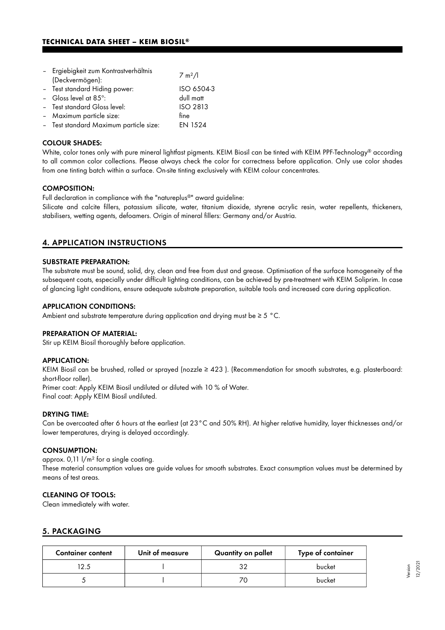## **TECHNICAL DATA SHEET – KEIM BIOSIL®**

| - Ergiebigkeit zum Kontrastverhältnis<br>(Deckvermögen): | 7 m <sup>2</sup> /1 |
|----------------------------------------------------------|---------------------|
| - Test standard Hiding power:                            | ISO 6504-3          |
| - Gloss level at 85°:                                    | dull matt           |
| - Test standard Gloss level:                             | <b>ISO 2813</b>     |
| - Maximum particle size:                                 | fine                |
| - Test standard Maximum particle size:                   | EN 1524             |

#### COLOUR SHADES:

White, color tones only with pure mineral lightfast pigments. KEIM Biosil can be tinted with KEIM PPF-Technology® according to all common color collections. Please always check the color for correctness before application. Only use color shades from one tinting batch within a surface. On-site tinting exclusively with KEIM colour concentrates.

#### COMPOSITION:

Full declaration in compliance with the "natureplus®" award guideline:

Silicate and calcite fillers, potassium silicate, water, titanium dioxide, styrene acrylic resin, water repellents, thickeners, stabilisers, wetting agents, defoamers. Origin of mineral fillers: Germany and/or Austria.

## 4. APPLICATION INSTRUCTIONS

#### SUBSTRATE PREPARATION:

The substrate must be sound, solid, dry, clean and free from dust and grease. Optimisation of the surface homogeneity of the subsequent coats, especially under difficult lighting conditions, can be achieved by pre-treatment with KEIM Soliprim. In case of glancing light conditions, ensure adequate substrate preparation, suitable tools and increased care during application.

#### APPLICATION CONDITIONS:

Ambient and substrate temperature during application and drying must be ≥ 5 °C.

#### PREPARATION OF MATERIAL:

Stir up KEIM Biosil thoroughly before application.

#### APPLICATION:

KEIM Biosil can be brushed, rolled or sprayed (nozzle ≥ 423 ). (Recommendation for smooth substrates, e.g. plasterboard: short-floor roller).

Primer coat: Apply KEIM Biosil undiluted or diluted with 10 % of Water.

Final coat: Apply KEIM Biosil undiluted.

#### DRYING TIME:

Can be overcoated after 6 hours at the earliest (at 23°C and 50% RH). At higher relative humidity, layer thicknesses and/or lower temperatures, drying is delayed accordingly.

#### CONSUMPTION:

approx.  $0.11$   $1/m^2$  for a single coating. These material consumption values are guide values for smooth substrates. Exact consumption values must be determined by means of test areas.

## CLEANING OF TOOLS:

Clean immediately with water.

#### 5. PACKAGING

| <b>Container content</b> | Unit of measure | Quantity on pallet | Type of container |
|--------------------------|-----------------|--------------------|-------------------|
| 2.5                      |                 | つ                  | bucket            |
|                          |                 | 7C                 | bucket            |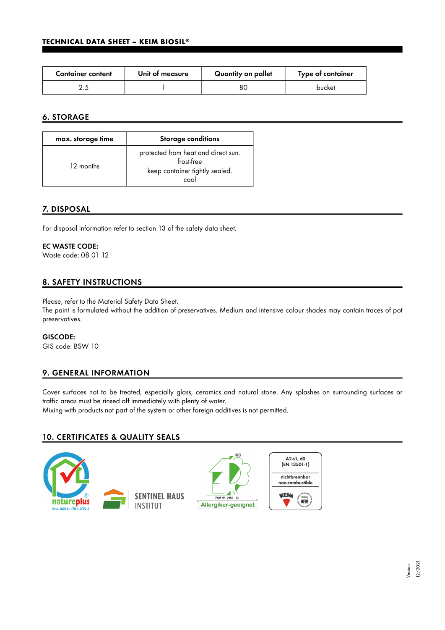| <b>Container content</b> | Unit of measure | Quantity on pallet | Type of container |
|--------------------------|-----------------|--------------------|-------------------|
|                          |                 | 80                 | bucket            |

# 6. STORAGE

| max. storage time | <b>Storage conditions</b>                                                                   |
|-------------------|---------------------------------------------------------------------------------------------|
| 12 months         | protected from heat and direct sun.<br>frost-free<br>keep container tightly sealed.<br>cool |

# 7. DISPOSAL

For disposal information refer to section 13 of the safety data sheet.

## EC WASTE CODE:

Waste code: 08 01 12

# 8. SAFETY INSTRUCTIONS

Please, refer to the Material Safety Data Sheet.

The paint is formulated without the addition of preservatives. Medium and intensive colour shades may contain traces of pot preservatives.

## GISCODE:

GIS code: BSW 10

# 9. GENERAL INFORMATION

Cover surfaces not to be treated, especially glass, ceramics and natural stone. Any splashes on surrounding surfaces or traffic areas must be rinsed off immediately with plenty of water.

Mixing with products not part of the system or other foreign additives is not permitted.

# 10. CERTIFICATES & QUALITY SEALS